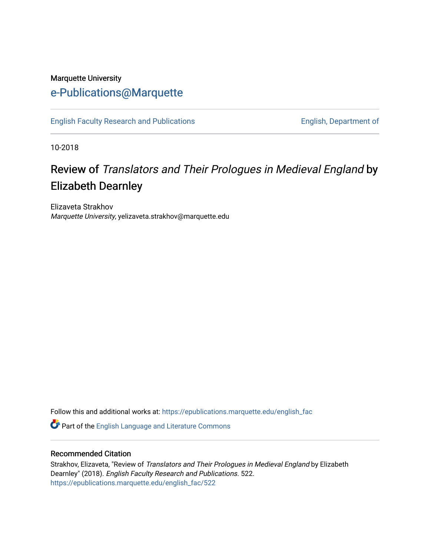## Marquette University [e-Publications@Marquette](https://epublications.marquette.edu/)

[English Faculty Research and Publications](https://epublications.marquette.edu/english_fac) **English, Department of** English, Department of

10-2018

# Review of Translators and Their Prologues in Medieval England by Elizabeth Dearnley

Elizaveta Strakhov Marquette University, yelizaveta.strakhov@marquette.edu

Follow this and additional works at: [https://epublications.marquette.edu/english\\_fac](https://epublications.marquette.edu/english_fac?utm_source=epublications.marquette.edu%2Fenglish_fac%2F522&utm_medium=PDF&utm_campaign=PDFCoverPages)

Part of the [English Language and Literature Commons](http://network.bepress.com/hgg/discipline/455?utm_source=epublications.marquette.edu%2Fenglish_fac%2F522&utm_medium=PDF&utm_campaign=PDFCoverPages)

#### Recommended Citation

Strakhov, Elizaveta, "Review of Translators and Their Prologues in Medieval England by Elizabeth Dearnley" (2018). English Faculty Research and Publications. 522. [https://epublications.marquette.edu/english\\_fac/522](https://epublications.marquette.edu/english_fac/522?utm_source=epublications.marquette.edu%2Fenglish_fac%2F522&utm_medium=PDF&utm_campaign=PDFCoverPages)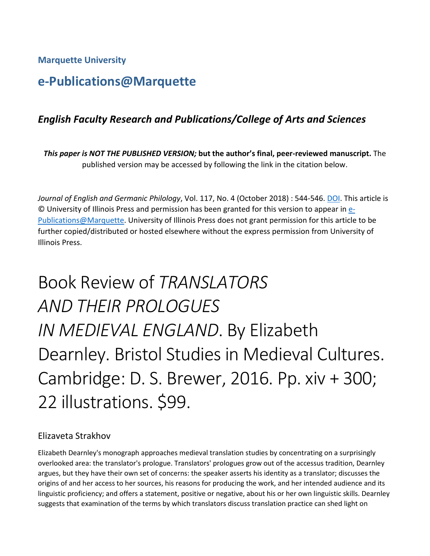**Marquette University**

## **e-Publications@Marquette**

### *English Faculty Research and Publications/College of Arts and Sciences*

*This paper is NOT THE PUBLISHED VERSION;* **but the author's final, peer-reviewed manuscript.** The published version may be accessed by following the link in the citation below.

*Journal of English and Germanic Philology*, Vol. 117, No. 4 (October 2018) : 544-546. [DOI.](https://www.jstor.org/stable/10.5406/jenglgermphil.117.4.0544?seq=1#page_scan_tab_contents) This article is © University of Illinois Press and permission has been granted for this version to appear in [e-](http://epublications.marquette.edu/)[Publications@Marquette.](http://epublications.marquette.edu/) University of Illinois Press does not grant permission for this article to be further copied/distributed or hosted elsewhere without the express permission from University of Illinois Press.

Book Review of *TRANSLATORS AND THEIR PROLOGUES IN MEDIEVAL ENGLAND*. By Elizabeth Dearnley. Bristol Studies in Medieval Cultures. Cambridge: D. S. Brewer, 2016. Pp. xiv + 300; 22 illustrations. \$99.

#### Elizaveta Strakhov

Elizabeth Dearnley's monograph approaches medieval translation studies by concentrating on a surprisingly overlooked area: the translator's prologue. Translators' prologues grow out of the accessus tradition, Dearnley argues, but they have their own set of concerns: the speaker asserts his identity as a translator; discusses the origins of and her access to her sources, his reasons for producing the work, and her intended audience and its linguistic proficiency; and offers a statement, positive or negative, about his or her own linguistic skills. Dearnley suggests that examination of the terms by which translators discuss translation practice can shed light on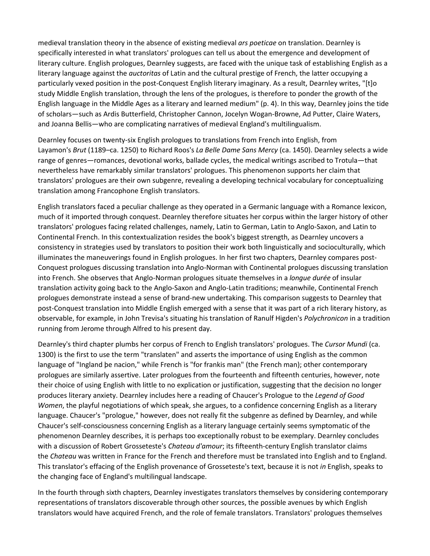medieval translation theory in the absence of existing medieval *ars poeticae* on translation. Dearnley is specifically interested in what translators' prologues can tell us about the emergence and development of literary culture. English prologues, Dearnley suggests, are faced with the unique task of establishing English as a literary language against the *auctoritas* of Latin and the cultural prestige of French, the latter occupying a particularly vexed position in the post-Conquest English literary imaginary. As a result, Dearnley writes, "[t]o study Middle English translation, through the lens of the prologues, is therefore to ponder the growth of the English language in the Middle Ages as a literary and learned medium" (p. 4). In this way, Dearnley joins the tide of scholars—such as Ardis Butterfield, Christopher Cannon, Jocelyn Wogan-Browne, Ad Putter, Claire Waters, and Joanna Bellis—who are complicating narratives of medieval England's multilingualism.

Dearnley focuses on twenty-six English prologues to translations from French into English, from Layamon's *Brut* (1189–ca. 1250) to Richard Roos's *La Belle Dame Sans Mercy* (ca. 1450). Dearnley selects a wide range of genres—romances, devotional works, ballade cycles, the medical writings ascribed to Trotula—that nevertheless have remarkably similar translators' prologues. This phenomenon supports her claim that translators' prologues are their own subgenre, revealing a developing technical vocabulary for conceptualizing translation among Francophone English translators.

English translators faced a peculiar challenge as they operated in a Germanic language with a Romance lexicon, much of it imported through conquest. Dearnley therefore situates her corpus within the larger history of other translators' prologues facing related challenges, namely, Latin to German, Latin to Anglo-Saxon, and Latin to Continental French. In this contextualization resides the book's biggest strength, as Dearnley uncovers a consistency in strategies used by translators to position their work both linguistically and socioculturally, which illuminates the maneuverings found in English prologues. In her first two chapters, Dearnley compares post-Conquest prologues discussing translation into Anglo-Norman with Continental prologues discussing translation into French. She observes that Anglo-Norman prologues situate themselves in a *longue durée* of insular translation activity going back to the Anglo-Saxon and Anglo-Latin traditions; meanwhile, Continental French prologues demonstrate instead a sense of brand-new undertaking. This comparison suggests to Dearnley that post-Conquest translation into Middle English emerged with a sense that it was part of a rich literary history, as observable, for example, in John Trevisa's situating his translation of Ranulf Higden's *Polychronicon* in a tradition running from Jerome through Alfred to his present day.

Dearnley's third chapter plumbs her corpus of French to English translators' prologues. The *Cursor Mundi* (ca. 1300) is the first to use the term "translaten" and asserts the importance of using English as the common language of "Ingland þe nacion," while French is "for frankis man" (the French man); other contemporary prologues are similarly assertive. Later prologues from the fourteenth and fifteenth centuries, however, note their choice of using English with little to no explication or justification, suggesting that the decision no longer produces literary anxiety. Dearnley includes here a reading of Chaucer's Prologue to the *Legend of Good Women*, the playful negotiations of which speak, she argues, to a confidence concerning English as a literary language. Chaucer's "prologue," however, does not really fit the subgenre as defined by Dearnley, and while Chaucer's self-consciousness concerning English as a literary language certainly seems symptomatic of the phenomenon Dearnley describes, it is perhaps too exceptionally robust to be exemplary. Dearnley concludes with a discussion of Robert Grosseteste's *Chateau d'amour*; its fifteenth-century English translator claims the *Chateau* was written in France for the French and therefore must be translated into English and to England. This translator's effacing of the English provenance of Grosseteste's text, because it is not *in* English, speaks to the changing face of England's multilingual landscape.

In the fourth through sixth chapters, Dearnley investigates translators themselves by considering contemporary representations of translators discoverable through other sources, the possible avenues by which English translators would have acquired French, and the role of female translators. Translators' prologues themselves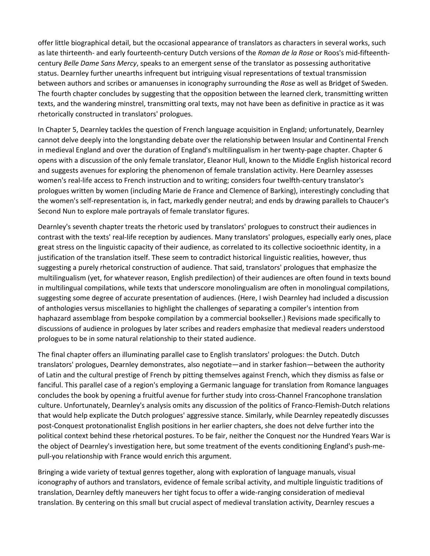offer little biographical detail, but the occasional appearance of translators as characters in several works, such as late thirteenth- and early fourteenth-century Dutch versions of the *Roman de la Rose* or Roos's mid-fifteenthcentury *Belle Dame Sans Mercy*, speaks to an emergent sense of the translator as possessing authoritative status. Dearnley further unearths infrequent but intriguing visual representations of textual transmission between authors and scribes or amanuenses in iconography surrounding the *Rose* as well as Bridget of Sweden. The fourth chapter concludes by suggesting that the opposition between the learned clerk, transmitting written texts, and the wandering minstrel, transmitting oral texts, may not have been as definitive in practice as it was rhetorically constructed in translators' prologues.

In Chapter 5, Dearnley tackles the question of French language acquisition in England; unfortunately, Dearnley cannot delve deeply into the longstanding debate over the relationship between Insular and Continental French in medieval England and over the duration of England's multilingualism in her twenty-page chapter. Chapter 6 opens with a discussion of the only female translator, Eleanor Hull, known to the Middle English historical record and suggests avenues for exploring the phenomenon of female translation activity. Here Dearnley assesses women's real-life access to French instruction and to writing; considers four twelfth-century translator's prologues written by women (including Marie de France and Clemence of Barking), interestingly concluding that the women's self-representation is, in fact, markedly gender neutral; and ends by drawing parallels to Chaucer's Second Nun to explore male portrayals of female translator figures.

Dearnley's seventh chapter treats the rhetoric used by translators' prologues to construct their audiences in contrast with the texts' real-life reception by audiences. Many translators' prologues, especially early ones, place great stress on the linguistic capacity of their audience, as correlated to its collective socioethnic identity, in a justification of the translation itself. These seem to contradict historical linguistic realities, however, thus suggesting a purely rhetorical construction of audience. That said, translators' prologues that emphasize the multilingualism (yet, for whatever reason, English predilection) of their audiences are often found in texts bound in multilingual compilations, while texts that underscore monolingualism are often in monolingual compilations, suggesting some degree of accurate presentation of audiences. (Here, I wish Dearnley had included a discussion of anthologies versus miscellanies to highlight the challenges of separating a compiler's intention from haphazard assemblage from bespoke compilation by a commercial bookseller.) Revisions made specifically to discussions of audience in prologues by later scribes and readers emphasize that medieval readers understood prologues to be in some natural relationship to their stated audience.

The final chapter offers an illuminating parallel case to English translators' prologues: the Dutch. Dutch translators' prologues, Dearnley demonstrates, also negotiate—and in starker fashion—between the authority of Latin and the cultural prestige of French by pitting themselves against French, which they dismiss as false or fanciful. This parallel case of a region's employing a Germanic language for translation from Romance languages concludes the book by opening a fruitful avenue for further study into cross-Channel Francophone translation culture. Unfortunately, Dearnley's analysis omits any discussion of the politics of Franco-Flemish-Dutch relations that would help explicate the Dutch prologues' aggressive stance. Similarly, while Dearnley repeatedly discusses post-Conquest protonationalist English positions in her earlier chapters, she does not delve further into the political context behind these rhetorical postures. To be fair, neither the Conquest nor the Hundred Years War is the object of Dearnley's investigation here, but some treatment of the events conditioning England's push-mepull-you relationship with France would enrich this argument.

Bringing a wide variety of textual genres together, along with exploration of language manuals, visual iconography of authors and translators, evidence of female scribal activity, and multiple linguistic traditions of translation, Dearnley deftly maneuvers her tight focus to offer a wide-ranging consideration of medieval translation. By centering on this small but crucial aspect of medieval translation activity, Dearnley rescues a